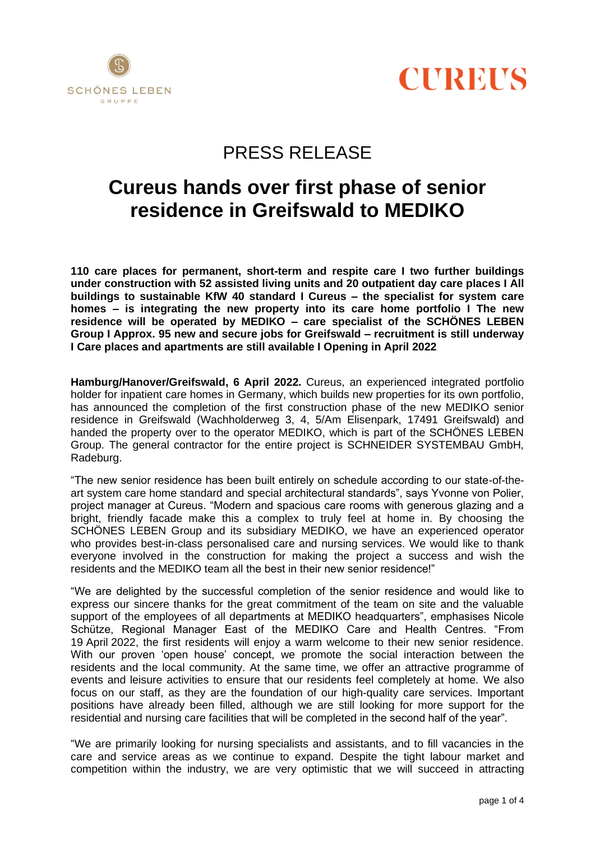



# PRESS RELEASE

# **Cureus hands over first phase of senior residence in Greifswald to MEDIKO**

**110 care places for permanent, short-term and respite care I two further buildings under construction with 52 assisted living units and 20 outpatient day care places I All buildings to sustainable KfW 40 standard I Cureus – the specialist for system care homes – is integrating the new property into its care home portfolio I The new residence will be operated by MEDIKO – care specialist of the SCHÖNES LEBEN Group I Approx. 95 new and secure jobs for Greifswald – recruitment is still underway I Care places and apartments are still available I Opening in April 2022**

**Hamburg/Hanover/Greifswald, 6 April 2022.** Cureus, an experienced integrated portfolio holder for inpatient care homes in Germany, which builds new properties for its own portfolio, has announced the completion of the first construction phase of the new MEDIKO senior residence in Greifswald (Wachholderweg 3, 4, 5/Am Elisenpark, 17491 Greifswald) and handed the property over to the operator MEDIKO, which is part of the SCHÖNES LEBEN Group. The general contractor for the entire project is SCHNEIDER SYSTEMBAU GmbH, Radeburg.

"The new senior residence has been built entirely on schedule according to our state-of-theart system care home standard and special architectural standards", says Yvonne von Polier, project manager at Cureus. "Modern and spacious care rooms with generous glazing and a bright, friendly facade make this a complex to truly feel at home in. By choosing the SCHÖNES LEBEN Group and its subsidiary MEDIKO, we have an experienced operator who provides best-in-class personalised care and nursing services. We would like to thank everyone involved in the construction for making the project a success and wish the residents and the MEDIKO team all the best in their new senior residence!"

"We are delighted by the successful completion of the senior residence and would like to express our sincere thanks for the great commitment of the team on site and the valuable support of the employees of all departments at MEDIKO headquarters", emphasises Nicole Schütze, Regional Manager East of the MEDIKO Care and Health Centres. "From 19 April 2022, the first residents will enjoy a warm welcome to their new senior residence. With our proven 'open house' concept, we promote the social interaction between the residents and the local community. At the same time, we offer an attractive programme of events and leisure activities to ensure that our residents feel completely at home. We also focus on our staff, as they are the foundation of our high-quality care services. Important positions have already been filled, although we are still looking for more support for the residential and nursing care facilities that will be completed in the second half of the year".

"We are primarily looking for nursing specialists and assistants, and to fill vacancies in the care and service areas as we continue to expand. Despite the tight labour market and competition within the industry, we are very optimistic that we will succeed in attracting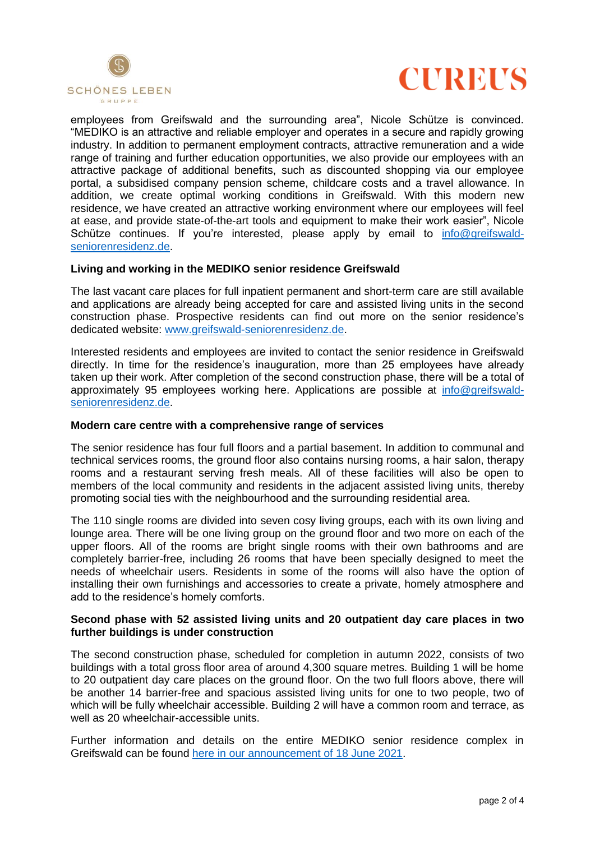



employees from Greifswald and the surrounding area", Nicole Schütze is convinced. "MEDIKO is an attractive and reliable employer and operates in a secure and rapidly growing industry. In addition to permanent employment contracts, attractive remuneration and a wide range of training and further education opportunities, we also provide our employees with an attractive package of additional benefits, such as discounted shopping via our employee portal, a subsidised company pension scheme, childcare costs and a travel allowance. In addition, we create optimal working conditions in Greifswald. With this modern new residence, we have created an attractive working environment where our employees will feel at ease, and provide state-of-the-art tools and equipment to make their work easier", Nicole Schütze continues. If you're interested, please apply by email to [info@greifswald](mailto:info@greifswald-seniorenresidenz.de)[seniorenresidenz.de.](mailto:info@greifswald-seniorenresidenz.de)

### **Living and working in the MEDIKO senior residence Greifswald**

The last vacant care places for full inpatient permanent and short-term care are still available and applications are already being accepted for care and assisted living units in the second construction phase. Prospective residents can find out more on the senior residence's dedicated website: [www.greifswald-seniorenresidenz.de.](http://www.greifswald-seniorenresidenz.de/)

Interested residents and employees are invited to contact the senior residence in Greifswald directly. In time for the residence's inauguration, more than 25 employees have already taken up their work. After completion of the second construction phase, there will be a total of approximately 95 employees working here. Applications are possible at [info@greifswald](mailto:info@greifswald-seniorenresidenz.de)[seniorenresidenz.de.](mailto:info@greifswald-seniorenresidenz.de)

### **Modern care centre with a comprehensive range of services**

The senior residence has four full floors and a partial basement. In addition to communal and technical services rooms, the ground floor also contains nursing rooms, a hair salon, therapy rooms and a restaurant serving fresh meals. All of these facilities will also be open to members of the local community and residents in the adjacent assisted living units, thereby promoting social ties with the neighbourhood and the surrounding residential area.

The 110 single rooms are divided into seven cosy living groups, each with its own living and lounge area. There will be one living group on the ground floor and two more on each of the upper floors. All of the rooms are bright single rooms with their own bathrooms and are completely barrier-free, including 26 rooms that have been specially designed to meet the needs of wheelchair users. Residents in some of the rooms will also have the option of installing their own furnishings and accessories to create a private, homely atmosphere and add to the residence's homely comforts.

## **Second phase with 52 assisted living units and 20 outpatient day care places in two further buildings is under construction**

The second construction phase, scheduled for completion in autumn 2022, consists of two buildings with a total gross floor area of around 4,300 square metres. Building 1 will be home to 20 outpatient day care places on the ground floor. On the two full floors above, there will be another 14 barrier-free and spacious assisted living units for one to two people, two of which will be fully wheelchair accessible. Building 2 will have a common room and terrace, as well as 20 wheelchair-accessible units.

Further information and details on the entire MEDIKO senior residence complex in Greifswald can be found [here in our announcement of 18 June 2021.](https://cureus.de/en/company/media/press-releases/Cureus-enters-final-construction-phase-of-MEDIKO-senior-residence-in-Greifswald)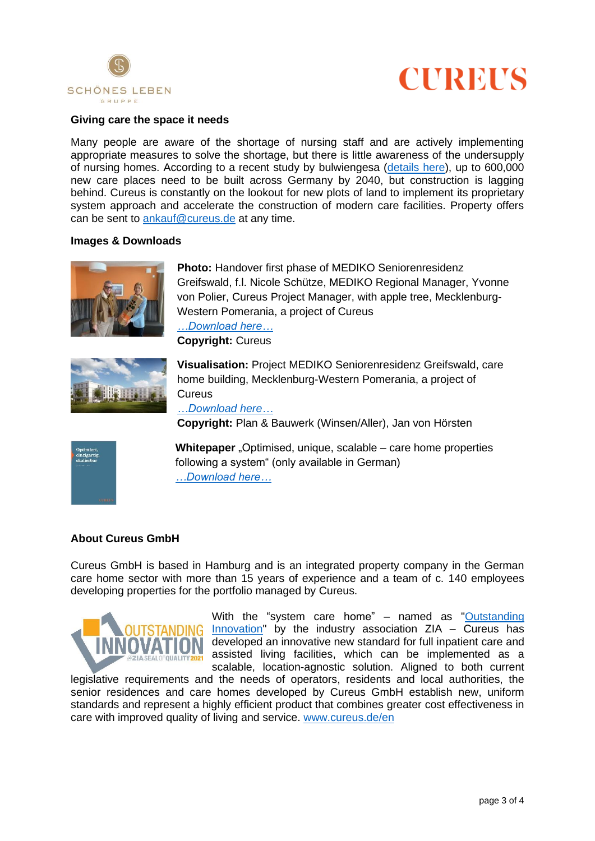



### **Giving care the space it needs**

Many people are aware of the shortage of nursing staff and are actively implementing appropriate measures to solve the shortage, but there is little awareness of the undersupply of nursing homes. According to a recent study by bulwiengesa [\(details here\)](https://cureus.de/en/market-survey), up to 600,000 new care places need to be built across Germany by 2040, but construction is lagging behind. Cureus is constantly on the lookout for new plots of land to implement its proprietary system approach and accelerate the construction of modern care facilities. Property offers can be sent to [ankauf@cureus.de](mailto:ankauf@cureus.de) at any time.

#### **Images & Downloads**



**Photo:** Handover first phase of MEDIKO Seniorenresidenz Greifswald, f.l. Nicole Schütze, MEDIKO Regional Manager, Yvonne von Polier, Cureus Project Manager, with apple tree, Mecklenburg-Western Pomerania, a project of Cureus *[…Download here…](https://cureus.de/download_file/724/0)* **Copyright:** Cureus



**Visualisation:** Project MEDIKO Seniorenresidenz Greifswald, care home building, Mecklenburg-Western Pomerania, a project of **Cureus** 

*[…Download here…](https://cureus.de/download_file/372/690)*

**Copyright:** Plan & Bauwerk (Winsen/Aller), Jan von Hörsten



**Whitepaper** "Optimised, unique, scalable – care home properties following a system" (only available in German) *[…Download here…](https://cureus.de/download_file/121/0)*

### **About Cureus GmbH**

Cureus GmbH is based in Hamburg and is an integrated property company in the German care home sector with more than 15 years of experience and a team of c. 140 employees developing properties for the portfolio managed by Cureus.



With the "system care home" – named as "Outstanding [Innovation"](https://www.zia-innovationsradar.de/) by the industry association  $ZIA -$  Cureus has developed an innovative new standard for full inpatient care and assisted living facilities, which can be implemented as a scalable, location-agnostic solution. Aligned to both current

legislative requirements and the needs of operators, residents and local authorities, the senior residences and care homes developed by Cureus GmbH establish new, uniform standards and represent a highly efficient product that combines greater cost effectiveness in care with improved quality of living and service. [www.cureus.de/en](http://www.cureus.de/en)